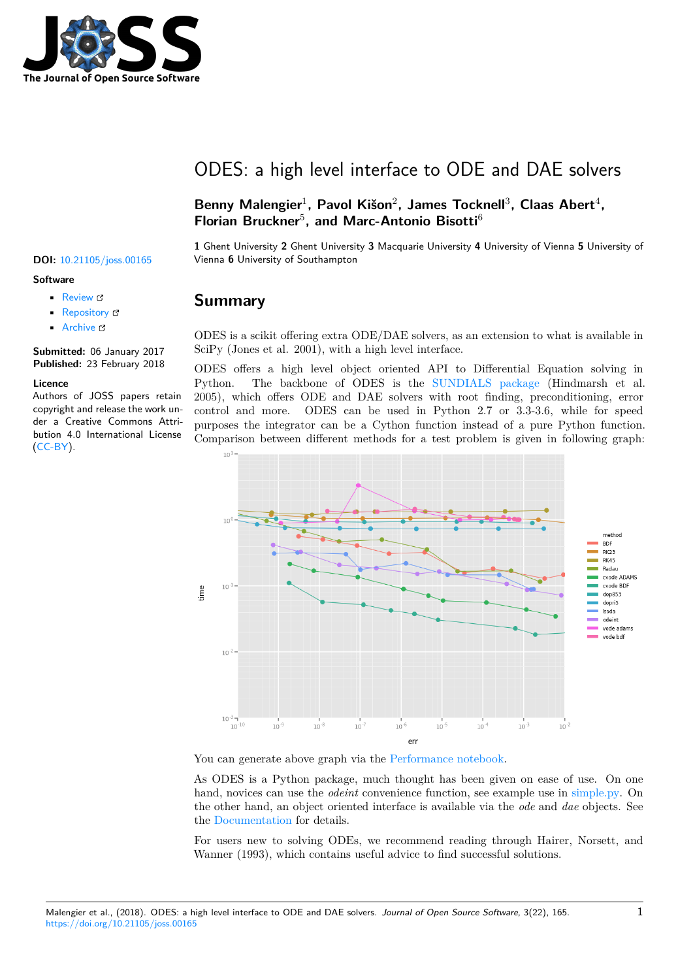

# ODES: a high level interface to ODE and DAE solvers

Benny Malengier<sup>1</sup>, Pavol Kišon<sup>2</sup>, James Tocknell<sup>3</sup>, Claas Abert<sup>4</sup>, Florian Bruckner<sup>5</sup>, and Marc-Antonio Bisotti<sup>6</sup>

**1** Ghent University **2** Ghent University **3** Macquarie University **4** University of Vienna **5** University of **DOI:** 10.21105/joss.00165 Vienna **6** University of Southampton

#### **Summary**

ODES is a scikit offering extra ODE/DAE solvers, as an extension to what is available in SciPy (Jones et al. 2001), with a high level interface.

ODES offers a high level object oriented API to Differential Equation solving in Python. The backbone of ODES is the SUNDIALS package (Hindmarsh et al. 2005), which offers ODE and DAE solvers with root finding, preconditioning, error control and more. ODES can be used in Python 2.7 or 3.3-3.6, while for speed purposes the integrator can be a Cython function instead of a pure Python function. Comparison between different methods for a [test problem is given](http://computation.llnl.gov/projects/sundials) in following graph:



You can generate above graph via the Performance notebook.

As ODES is a Python package, much thought has been given on ease of use. On one hand, novices can use the *odeint* convenience function, see example use in simple.py. On the other hand, an object oriented int[erface is available via th](https://github.com/bmcage/odes/blob/master/ipython_examples/Performance%20tests.ipynb)e *ode* and *dae* objects. See the Documentation for details.

For users new to solving ODEs, we recommend reading through Hairer[, Norsett,](https://github.com/bmcage/odes/blob/master/docs/examples/odeint/simple.py) and Wanner (1993), which contains useful advice to find successful solutions.

### • [Repository](https://doi.org/10.21105/joss.00165) &

• Archive

• Review C

**Subm[itted:](https://github.com/openjournals/joss-reviews/issues/165)** 06 January 2017 **Published:** [23 Fe](https://github.com/bmcage/odes/)bruary 2018

#### **Licen[ce](http://dx.doi.org/10.5281/zenodo.1183272)**

**Software**

Authors of JOSS papers retain copyright and release the work under a Creative Commons Attribution 4.0 International License (CC-BY).